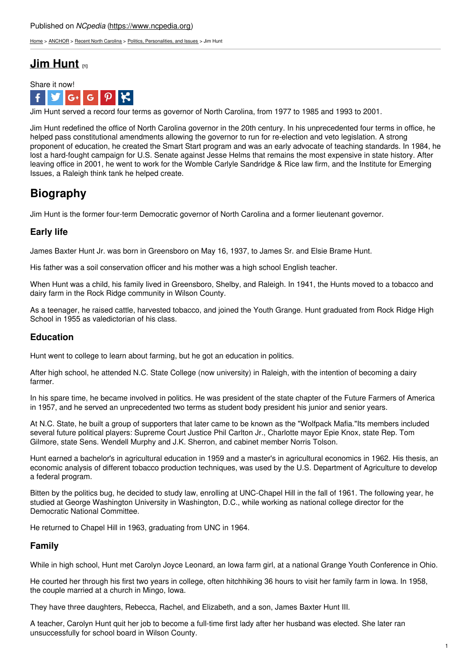[Home](https://www.ncpedia.org/) > [ANCHOR](https://www.ncpedia.org/anchor/anchor) > Recent North [Carolina](https://www.ncpedia.org/anchor/recent-north-carolina) > Politics, [Personalities,](https://www.ncpedia.org/anchor/politics-personalities-and) and Issues > Jim Hunt

## **Jim [Hunt](https://www.ncpedia.org/anchor/jim-hunt) [1]**



Jim Hunt served a record four terms as governor of North Carolina, from 1977 to 1985 and 1993 to 2001.

Jim Hunt redefined the office of North Carolina governor in the 20th century. In his unprecedented four terms in office, he helped pass constitutional amendments allowing the governor to run for re-election and veto legislation. A strong proponent of education, he created the Smart Start program and was an early advocate of teaching standards. In 1984, he lost a hard-fought campaign for U.S. Senate against Jesse Helms that remains the most expensive in state history. After leaving office in 2001, he went to work for the Womble Carlyle Sandridge & Rice law firm, and the Institute for Emerging Issues, a Raleigh think tank he helped create.

# **Biography**

Jim Hunt is the former four-term Democratic [governor](http://www.social9.com) of North Carolina and a former lieutenant governor.

### **Early life**

James Baxter Hunt Jr. was born in Greensboro on May 16, 1937, to James Sr. and Elsie Brame Hunt.

His father was a soil conservation officer and his mother was a high school English teacher.

When Hunt was a child, his family lived in Greensboro, Shelby, and Raleigh. In 1941, the Hunts moved to a tobacco and dairy farm in the Rock Ridge community in Wilson County.

As a teenager, he raised cattle, harvested tobacco, and joined the Youth Grange. Hunt graduated from Rock Ridge High School in 1955 as valedictorian of his class.

### **Education**

Hunt went to college to learn about farming, but he got an education in politics.

After high school, he attended N.C. State College (now university) in Raleigh, with the intention of becoming a dairy farmer.

In his spare time, he became involved in politics. He was president of the state chapter of the Future Farmers of America in 1957, and he served an unprecedented two terms as student body president his junior and senior years.

At N.C. State, he built a group of supporters that later came to be known as the "Wolfpack Mafia."Its members included several future political players: Supreme Court Justice Phil Carlton Jr., Charlotte mayor Epie Knox, state Rep. Tom Gilmore, state Sens. Wendell Murphy and J.K. Sherron, and cabinet member Norris Tolson.

Hunt earned a bachelor's in agricultural education in 1959 and a master's in agricultural economics in 1962. His thesis, an economic analysis of different tobacco production techniques, was used by the U.S. Department of Agriculture to develop a federal program.

Bitten by the politics bug, he decided to study law, enrolling at UNC-Chapel Hill in the fall of 1961. The following year, he studied at George Washington University in Washington, D.C., while working as national college director for the Democratic National Committee.

He returned to Chapel Hill in 1963, graduating from UNC in 1964.

#### **Family**

While in high school, Hunt met Carolyn Joyce Leonard, an Iowa farm girl, at a national Grange Youth Conference in Ohio.

He courted her through his first two years in college, often hitchhiking 36 hours to visit her family farm in Iowa. In 1958, the couple married at a church in Mingo, Iowa.

They have three daughters, Rebecca, Rachel, and Elizabeth, and a son, James Baxter Hunt III.

A teacher, Carolyn Hunt quit her job to become a full-time first lady after her husband was elected. She later ran unsuccessfully for school board in Wilson County.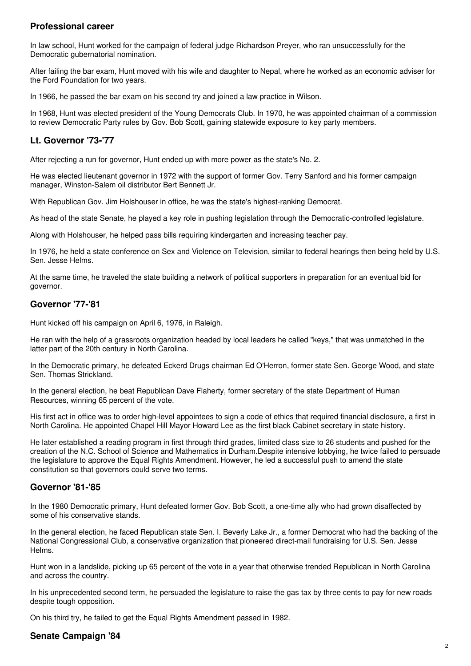#### **Professional career**

In law school, Hunt worked for the campaign of federal judge Richardson Preyer, who ran unsuccessfully for the Democratic gubernatorial nomination.

After failing the bar exam, Hunt moved with his wife and daughter to Nepal, where he worked as an economic adviser for the Ford Foundation for two years.

In 1966, he passed the bar exam on his second try and joined a law practice in Wilson.

In 1968, Hunt was elected president of the Young Democrats Club. In 1970, he was appointed chairman of a commission to review Democratic Party rules by Gov. Bob Scott, gaining statewide exposure to key party members.

### **Lt. Governor '73-'77**

After rejecting a run for governor, Hunt ended up with more power as the state's No. 2.

He was elected lieutenant governor in 1972 with the support of former Gov. Terry Sanford and his former campaign manager, Winston-Salem oil distributor Bert Bennett Jr.

With Republican Gov. Jim Holshouser in office, he was the state's highest-ranking Democrat.

As head of the state Senate, he played a key role in pushing legislation through the Democratic-controlled legislature.

Along with Holshouser, he helped pass bills requiring kindergarten and increasing teacher pay.

In 1976, he held a state conference on Sex and Violence on Television, similar to federal hearings then being held by U.S. Sen. Jesse Helms.

At the same time, he traveled the state building a network of political supporters in preparation for an eventual bid for governor.

#### **Governor '77-'81**

Hunt kicked off his campaign on April 6, 1976, in Raleigh.

He ran with the help of a grassroots organization headed by local leaders he called "keys," that was unmatched in the latter part of the 20th century in North Carolina.

In the Democratic primary, he defeated Eckerd Drugs chairman Ed O'Herron, former state Sen. George Wood, and state Sen. Thomas Strickland.

In the general election, he beat Republican Dave Flaherty, former secretary of the state Department of Human Resources, winning 65 percent of the vote.

His first act in office was to order high-level appointees to sign a code of ethics that required financial disclosure, a first in North Carolina. He appointed Chapel Hill Mayor Howard Lee as the first black Cabinet secretary in state history.

He later established a reading program in first through third grades, limited class size to 26 students and pushed for the creation of the N.C. School of Science and Mathematics in Durham.Despite intensive lobbying, he twice failed to persuade the legislature to approve the Equal Rights Amendment. However, he led a successful push to amend the state constitution so that governors could serve two terms.

#### **Governor '81-'85**

In the 1980 Democratic primary, Hunt defeated former Gov. Bob Scott, a one-time ally who had grown disaffected by some of his conservative stands.

In the general election, he faced Republican state Sen. I. Beverly Lake Jr., a former Democrat who had the backing of the National Congressional Club, a conservative organization that pioneered direct-mail fundraising for U.S. Sen. Jesse Helms.

Hunt won in a landslide, picking up 65 percent of the vote in a year that otherwise trended Republican in North Carolina and across the country.

In his unprecedented second term, he persuaded the legislature to raise the gas tax by three cents to pay for new roads despite tough opposition.

On his third try, he failed to get the Equal Rights Amendment passed in 1982.

#### **Senate Campaign '84**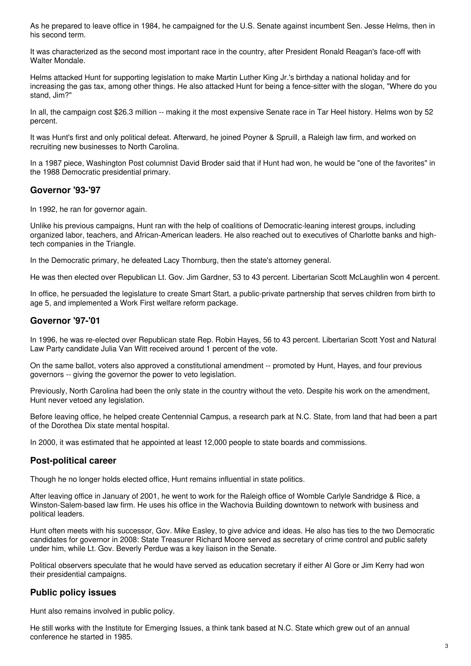As he prepared to leave office in 1984, he campaigned for the U.S. Senate against incumbent Sen. Jesse Helms, then in his second term.

It was characterized as the second most important race in the country, after President Ronald Reagan's face-off with Walter Mondale.

Helms attacked Hunt for supporting legislation to make Martin Luther King Jr.'s birthday a national holiday and for increasing the gas tax, among other things. He also attacked Hunt for being a fence-sitter with the slogan, "Where do you stand, Jim?"

In all, the campaign cost \$26.3 million -- making it the most expensive Senate race in Tar Heel history. Helms won by 52 percent.

It was Hunt's first and only political defeat. Afterward, he joined Poyner & Spruill, a Raleigh law firm, and worked on recruiting new businesses to North Carolina.

In a 1987 piece, Washington Post columnist David Broder said that if Hunt had won, he would be "one of the favorites" in the 1988 Democratic presidential primary.

#### **Governor '93-'97**

In 1992, he ran for governor again.

Unlike his previous campaigns, Hunt ran with the help of coalitions of Democratic-leaning interest groups, including organized labor, teachers, and African-American leaders. He also reached out to executives of Charlotte banks and hightech companies in the Triangle.

In the Democratic primary, he defeated Lacy Thornburg, then the state's attorney general.

He was then elected over Republican Lt. Gov. Jim Gardner, 53 to 43 percent. Libertarian Scott McLaughlin won 4 percent.

In office, he persuaded the legislature to create Smart Start, a public-private partnership that serves children from birth to age 5, and implemented a Work First welfare reform package.

#### **Governor '97-'01**

In 1996, he was re-elected over Republican state Rep. Robin Hayes, 56 to 43 percent. Libertarian Scott Yost and Natural Law Party candidate Julia Van Witt received around 1 percent of the vote.

On the same ballot, voters also approved a constitutional amendment -- promoted by Hunt, Hayes, and four previous governors -- giving the governor the power to veto legislation.

Previously, North Carolina had been the only state in the country without the veto. Despite his work on the amendment, Hunt never vetoed any legislation.

Before leaving office, he helped create Centennial Campus, a research park at N.C. State, from land that had been a part of the Dorothea Dix state mental hospital.

In 2000, it was estimated that he appointed at least 12,000 people to state boards and commissions.

#### **Post-political career**

Though he no longer holds elected office, Hunt remains influential in state politics.

After leaving office in January of 2001, he went to work for the Raleigh office of Womble Carlyle Sandridge & Rice, a Winston-Salem-based law firm. He uses his office in the Wachovia Building downtown to network with business and political leaders.

Hunt often meets with his successor, Gov. Mike Easley, to give advice and ideas. He also has ties to the two Democratic candidates for governor in 2008: State Treasurer Richard Moore served as secretary of crime control and public safety under him, while Lt. Gov. Beverly Perdue was a key liaison in the Senate.

Political observers speculate that he would have served as education secretary if either Al Gore or Jim Kerry had won their presidential campaigns.

#### **Public policy issues**

Hunt also remains involved in public policy.

He still works with the Institute for Emerging Issues, a think tank based at N.C. State which grew out of an annual conference he started in 1985.